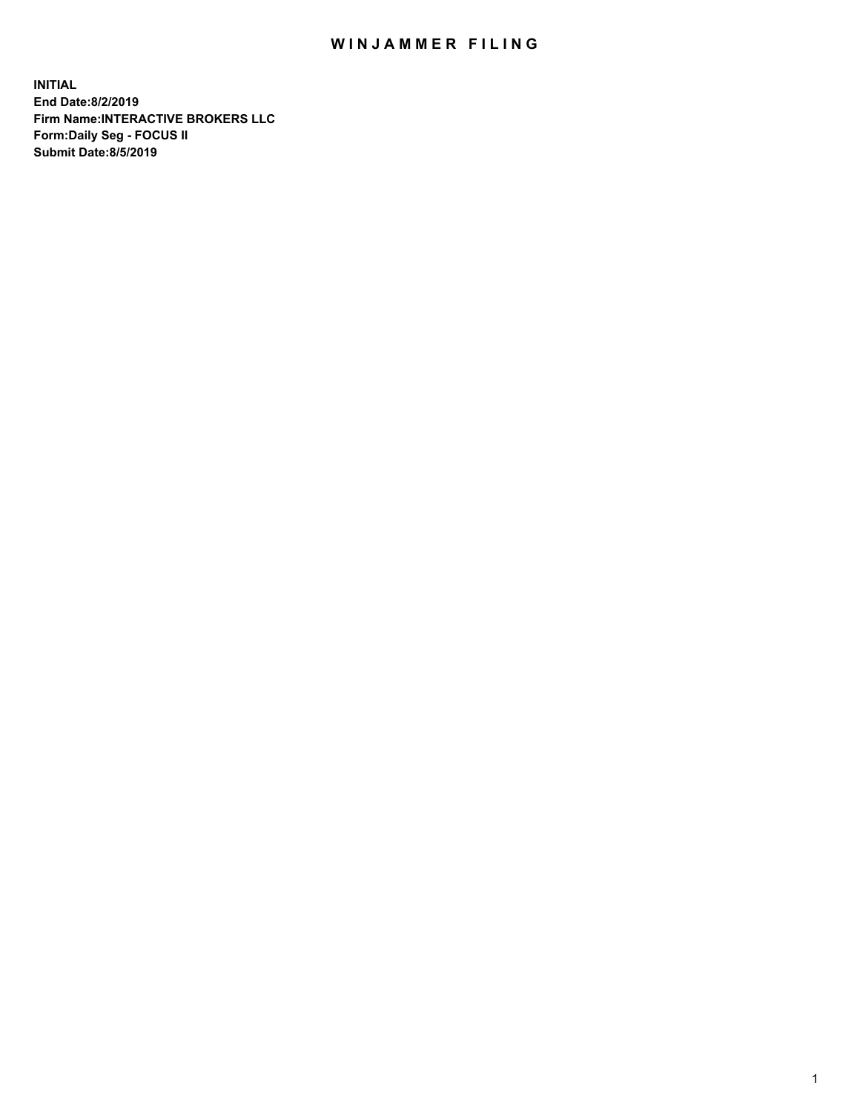## WIN JAMMER FILING

**INITIAL End Date:8/2/2019 Firm Name:INTERACTIVE BROKERS LLC Form:Daily Seg - FOCUS II Submit Date:8/5/2019**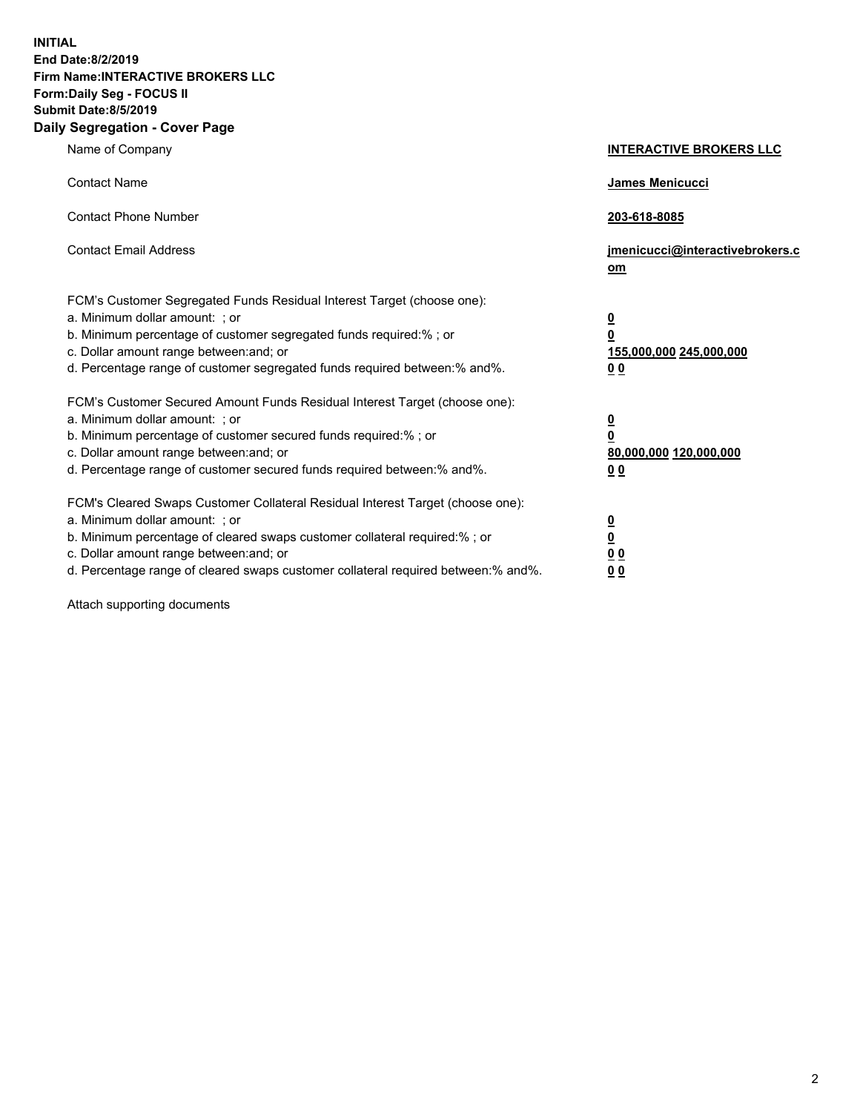**INITIAL End Date:8/2/2019 Firm Name:INTERACTIVE BROKERS LLC Form:Daily Seg - FOCUS II Submit Date:8/5/2019 Daily Segregation - Cover Page**

| Name of Company                                                                                                                                                                                                                                                                                                                | <b>INTERACTIVE BROKERS LLC</b>                                                      |
|--------------------------------------------------------------------------------------------------------------------------------------------------------------------------------------------------------------------------------------------------------------------------------------------------------------------------------|-------------------------------------------------------------------------------------|
| <b>Contact Name</b>                                                                                                                                                                                                                                                                                                            | <b>James Menicucci</b>                                                              |
| <b>Contact Phone Number</b>                                                                                                                                                                                                                                                                                                    | 203-618-8085                                                                        |
| <b>Contact Email Address</b>                                                                                                                                                                                                                                                                                                   | jmenicucci@interactivebrokers.c<br>om                                               |
| FCM's Customer Segregated Funds Residual Interest Target (choose one):<br>a. Minimum dollar amount: ; or<br>b. Minimum percentage of customer segregated funds required:% ; or<br>c. Dollar amount range between: and; or<br>d. Percentage range of customer segregated funds required between:% and%.                         | $\overline{\mathbf{0}}$<br>$\overline{\mathbf{0}}$<br>155,000,000 245,000,000<br>00 |
| FCM's Customer Secured Amount Funds Residual Interest Target (choose one):<br>a. Minimum dollar amount: ; or<br>b. Minimum percentage of customer secured funds required:% ; or<br>c. Dollar amount range between: and; or<br>d. Percentage range of customer secured funds required between:% and%.                           | $\overline{\mathbf{0}}$<br>$\pmb{0}$<br>80,000,000 120,000,000<br>00                |
| FCM's Cleared Swaps Customer Collateral Residual Interest Target (choose one):<br>a. Minimum dollar amount: ; or<br>b. Minimum percentage of cleared swaps customer collateral required:% ; or<br>c. Dollar amount range between: and; or<br>d. Percentage range of cleared swaps customer collateral required between:% and%. | <u>0</u><br><u>0</u><br>0 <sub>0</sub><br>0 <sub>0</sub>                            |

Attach supporting documents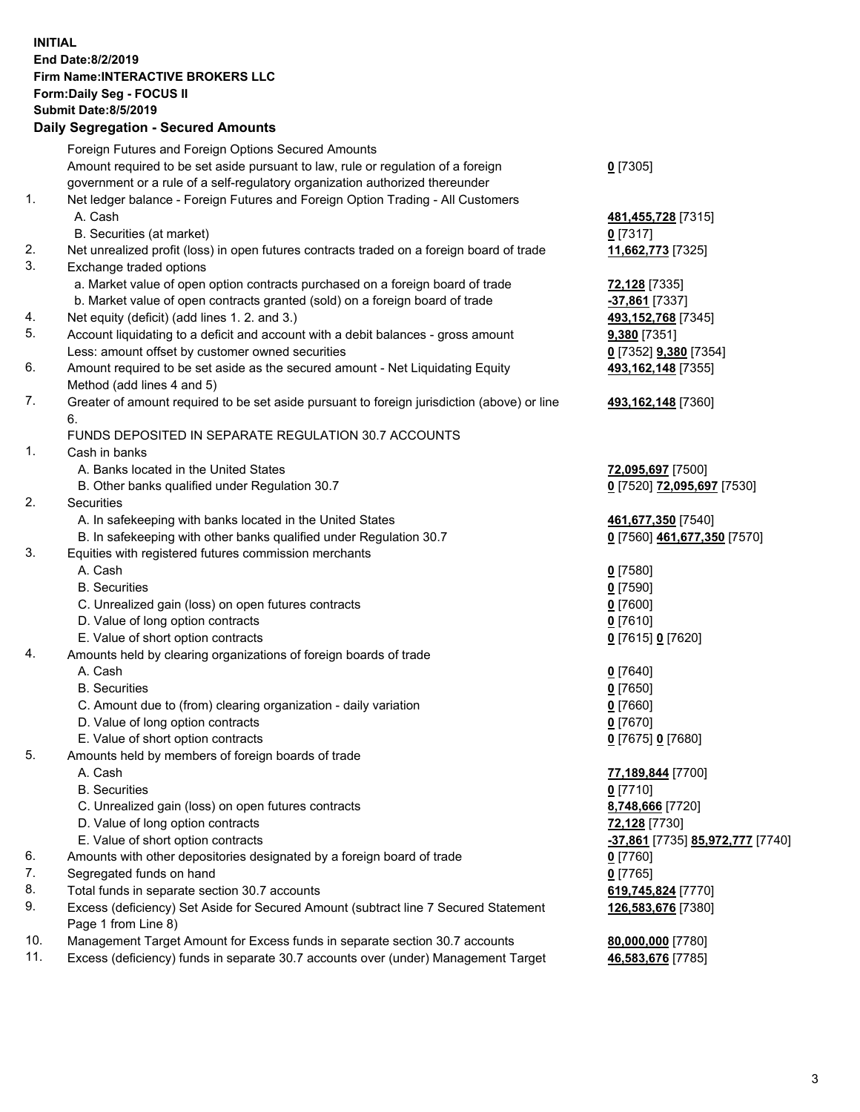## **INITIAL End Date:8/2/2019 Firm Name:INTERACTIVE BROKERS LLC Form:Daily Seg - FOCUS II Submit Date:8/5/2019 Daily Segregation - Secured Amounts**

|     | 2011, Ocgi ogation - Oceaned Anioanita                                                                     |                                                      |
|-----|------------------------------------------------------------------------------------------------------------|------------------------------------------------------|
|     | Foreign Futures and Foreign Options Secured Amounts                                                        |                                                      |
|     | Amount required to be set aside pursuant to law, rule or regulation of a foreign                           | $0$ [7305]                                           |
|     | government or a rule of a self-regulatory organization authorized thereunder                               |                                                      |
| 1.  | Net ledger balance - Foreign Futures and Foreign Option Trading - All Customers                            |                                                      |
|     | A. Cash                                                                                                    | 481,455,728 [7315]                                   |
|     | B. Securities (at market)                                                                                  | $0$ [7317]                                           |
| 2.  | Net unrealized profit (loss) in open futures contracts traded on a foreign board of trade                  | 11,662,773 [7325]                                    |
| 3.  | Exchange traded options                                                                                    |                                                      |
|     | a. Market value of open option contracts purchased on a foreign board of trade                             | 72,128 [7335]                                        |
|     | b. Market value of open contracts granted (sold) on a foreign board of trade                               | $-37,861$ [7337]                                     |
| 4.  | Net equity (deficit) (add lines 1. 2. and 3.)                                                              | 493,152,768 [7345]                                   |
| 5.  | Account liquidating to a deficit and account with a debit balances - gross amount                          | 9,380 [7351]                                         |
|     | Less: amount offset by customer owned securities                                                           | 0 [7352] 9,380 [7354]                                |
| 6.  | Amount required to be set aside as the secured amount - Net Liquidating Equity                             | 493,162,148 [7355]                                   |
|     | Method (add lines 4 and 5)                                                                                 |                                                      |
| 7.  | Greater of amount required to be set aside pursuant to foreign jurisdiction (above) or line                | 493,162,148 [7360]                                   |
|     | 6.                                                                                                         |                                                      |
|     | FUNDS DEPOSITED IN SEPARATE REGULATION 30.7 ACCOUNTS                                                       |                                                      |
| 1.  | Cash in banks                                                                                              |                                                      |
|     | A. Banks located in the United States                                                                      | 72,095,697 [7500]                                    |
|     | B. Other banks qualified under Regulation 30.7                                                             | 0 [7520] 72,095,697 [7530]                           |
| 2.  | Securities                                                                                                 |                                                      |
|     | A. In safekeeping with banks located in the United States                                                  | 461,677,350 [7540]                                   |
|     | B. In safekeeping with other banks qualified under Regulation 30.7                                         | 0 [7560] 461,677,350 [7570]                          |
| 3.  | Equities with registered futures commission merchants                                                      |                                                      |
|     | A. Cash                                                                                                    | $0$ [7580]                                           |
|     | <b>B.</b> Securities                                                                                       | <u>0</u> [7590]                                      |
|     | C. Unrealized gain (loss) on open futures contracts                                                        | 0 [7600]                                             |
|     | D. Value of long option contracts                                                                          | $0$ [7610]                                           |
|     | E. Value of short option contracts                                                                         | 0 [7615] 0 [7620]                                    |
| 4.  | Amounts held by clearing organizations of foreign boards of trade                                          |                                                      |
|     | A. Cash                                                                                                    | $0$ [7640]                                           |
|     | <b>B.</b> Securities                                                                                       | <u>0</u> [7650]                                      |
|     | C. Amount due to (from) clearing organization - daily variation                                            | $0$ [7660]                                           |
|     | D. Value of long option contracts                                                                          | $0$ [7670]                                           |
|     | E. Value of short option contracts                                                                         | 0 [7675] 0 [7680]                                    |
| 5.  | Amounts held by members of foreign boards of trade                                                         |                                                      |
|     | A. Cash                                                                                                    | 77,189,844 [7700]                                    |
|     | <b>B.</b> Securities                                                                                       | $0$ [7710]                                           |
|     | C. Unrealized gain (loss) on open futures contracts                                                        | 8,748,666 [7720]                                     |
|     | D. Value of long option contracts                                                                          | 72,128 [7730]                                        |
|     | E. Value of short option contracts                                                                         | <mark>-37,861</mark> [7735] <b>85,972,777</b> [7740] |
| 6.  | Amounts with other depositories designated by a foreign board of trade                                     | $0$ [7760]                                           |
| 7.  | Segregated funds on hand                                                                                   | $0$ [7765]                                           |
| 8.  | Total funds in separate section 30.7 accounts                                                              | 619,745,824 [7770]                                   |
| 9.  | Excess (deficiency) Set Aside for Secured Amount (subtract line 7 Secured Statement<br>Page 1 from Line 8) | 126,583,676 [7380]                                   |
| 10. | Management Target Amount for Excess funds in separate section 30.7 accounts                                | 80,000,000 [7780]                                    |
| 11. | Excess (deficiency) funds in separate 30.7 accounts over (under) Management Target                         | 46,583,676 [7785]                                    |
|     |                                                                                                            |                                                      |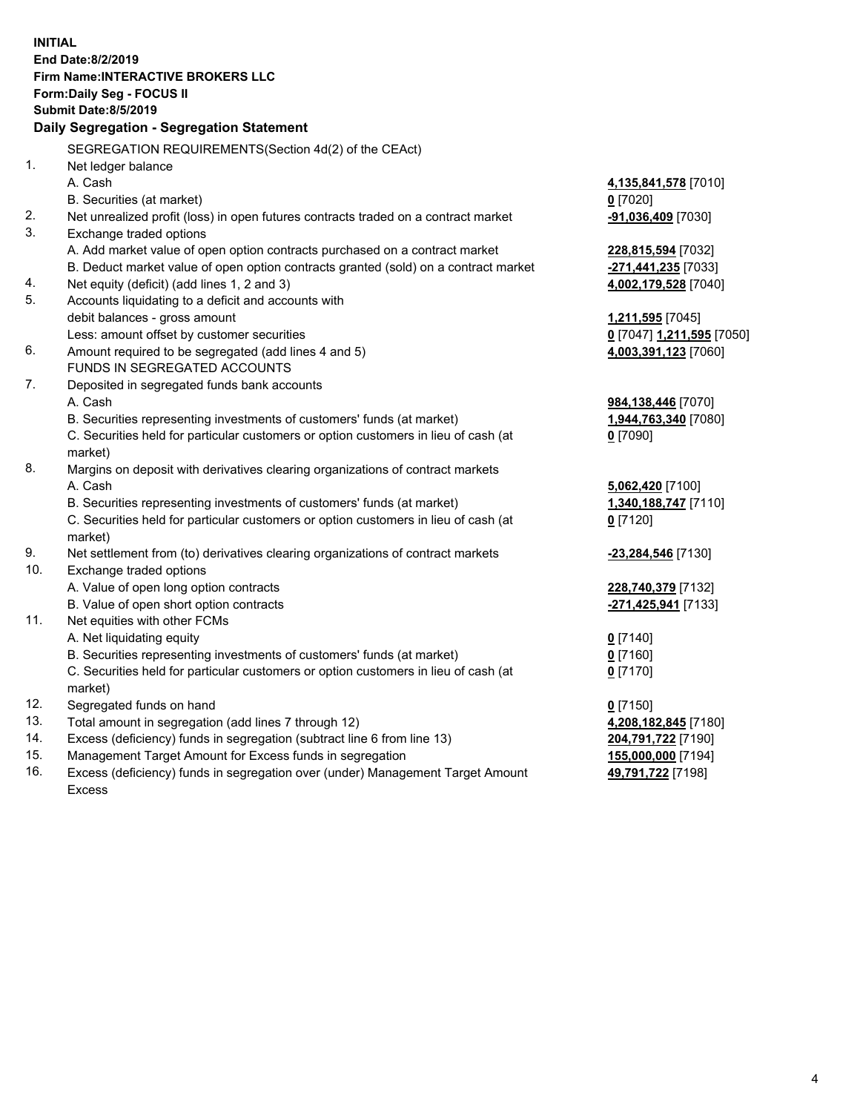|     | <b>INITIAL</b>                                                                                      |                           |
|-----|-----------------------------------------------------------------------------------------------------|---------------------------|
|     | End Date: 8/2/2019                                                                                  |                           |
|     | <b>Firm Name:INTERACTIVE BROKERS LLC</b>                                                            |                           |
|     | Form: Daily Seg - FOCUS II                                                                          |                           |
|     | <b>Submit Date: 8/5/2019</b>                                                                        |                           |
|     | Daily Segregation - Segregation Statement                                                           |                           |
|     | SEGREGATION REQUIREMENTS(Section 4d(2) of the CEAct)                                                |                           |
| 1.  | Net ledger balance                                                                                  |                           |
|     | A. Cash                                                                                             | 4,135,841,578 [7010]      |
|     | B. Securities (at market)                                                                           | $0$ [7020]                |
| 2.  | Net unrealized profit (loss) in open futures contracts traded on a contract market                  | -91,036,409 [7030]        |
| 3.  | Exchange traded options                                                                             |                           |
|     | A. Add market value of open option contracts purchased on a contract market                         | 228,815,594 [7032]        |
|     | B. Deduct market value of open option contracts granted (sold) on a contract market                 | -271,441,235 [7033]       |
| 4.  | Net equity (deficit) (add lines 1, 2 and 3)                                                         | 4,002,179,528 [7040]      |
| 5.  | Accounts liquidating to a deficit and accounts with                                                 |                           |
|     | debit balances - gross amount                                                                       | <u>1,211,595</u> [7045]   |
|     | Less: amount offset by customer securities                                                          | 0 [7047] 1,211,595 [7050] |
| 6.  | Amount required to be segregated (add lines 4 and 5)                                                | 4,003,391,123 [7060]      |
|     | FUNDS IN SEGREGATED ACCOUNTS                                                                        |                           |
| 7.  | Deposited in segregated funds bank accounts                                                         |                           |
|     | A. Cash                                                                                             | 984,138,446 [7070]        |
|     | B. Securities representing investments of customers' funds (at market)                              | 1,944,763,340 [7080]      |
|     | C. Securities held for particular customers or option customers in lieu of cash (at                 | $0$ [7090]                |
|     | market)                                                                                             |                           |
| 8.  | Margins on deposit with derivatives clearing organizations of contract markets                      |                           |
|     | A. Cash                                                                                             | 5,062,420 [7100]          |
|     | B. Securities representing investments of customers' funds (at market)                              | 1,340,188,747 [7110]      |
|     | C. Securities held for particular customers or option customers in lieu of cash (at                 | $0$ [7120]                |
|     | market)                                                                                             |                           |
| 9.  | Net settlement from (to) derivatives clearing organizations of contract markets                     | -23,284,546 [7130]        |
| 10. | Exchange traded options                                                                             |                           |
|     | A. Value of open long option contracts                                                              | 228,740,379 [7132]        |
|     | B. Value of open short option contracts                                                             | -271,425,941 [7133]       |
| 11. | Net equities with other FCMs                                                                        |                           |
|     | A. Net liquidating equity<br>B. Securities representing investments of customers' funds (at market) | $0$ [7140]                |
|     | C. Securities held for particular customers or option customers in lieu of cash (at                 | 0 [7160]                  |
|     |                                                                                                     | 0 <sup>[7170]</sup>       |
| 12. | market)<br>Segregated funds on hand                                                                 | $0$ [7150]                |
| 13. | Total amount in segregation (add lines 7 through 12)                                                | 4,208,182,845 [7180]      |
| 14. | Excess (deficiency) funds in segregation (subtract line 6 from line 13)                             | 204,791,722 [7190]        |
| 15. | Management Target Amount for Excess funds in segregation                                            | 155,000,000 [7194]        |
| 16. | Excess (deficiency) funds in segregation over (under) Management Target Amount                      | 49,791,722 [7198]         |

Excess